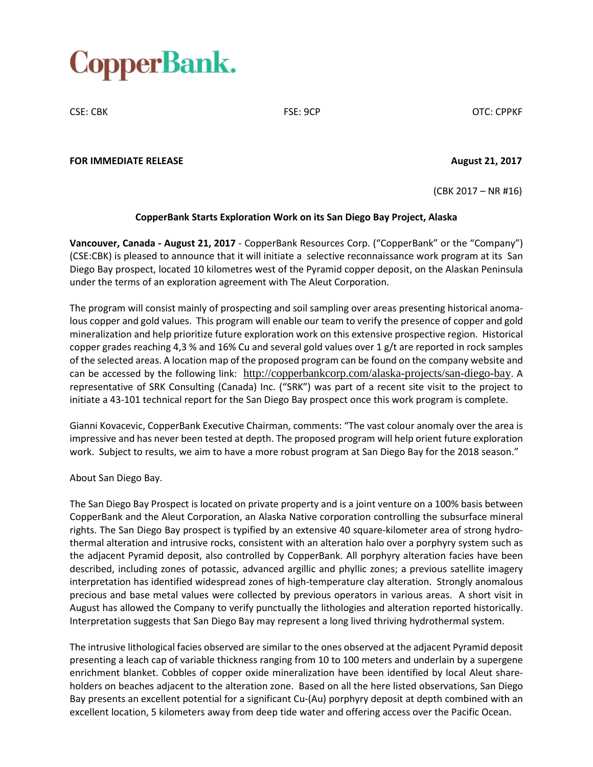# CopperBank.

CSE: CBK FSE: 9CP OTC: CPPKF

#### **FOR IMMEDIATE RELEASE August 21, 2017**

(CBK 2017 – NR #16)

## **CopperBank Starts Exploration Work on its San Diego Bay Project, Alaska**

**Vancouver, Canada - August 21, 2017** - CopperBank Resources Corp. ("CopperBank" or the "Company") (CSE:CBK) is pleased to announce that it will initiate a selective reconnaissance work program at its San Diego Bay prospect, located 10 kilometres west of the Pyramid copper deposit, on the Alaskan Peninsula under the terms of an exploration agreement with The Aleut Corporation.

The program will consist mainly of prospecting and soil sampling over areas presenting historical anomalous copper and gold values. This program will enable our team to verify the presence of copper and gold mineralization and help prioritize future exploration work on this extensive prospective region. Historical copper grades reaching 4,3 % and 16% Cu and several gold values over 1 g/t are reported in rock samples of the selected areas. A location map of the proposed program can be found on the company website and can be accessed by the following link: <http://copperbankcorp.com/alaska-projects/san-diego-bay>. A representative of SRK Consulting (Canada) Inc. ("SRK") was part of a recent site visit to the project to initiate a 43-101 technical report for the San Diego Bay prospect once this work program is complete.

Gianni Kovacevic, CopperBank Executive Chairman, comments: "The vast colour anomaly over the area is impressive and has never been tested at depth. The proposed program will help orient future exploration work. Subject to results, we aim to have a more robust program at San Diego Bay for the 2018 season."

## About San Diego Bay.

The San Diego Bay Prospect is located on private property and is a joint venture on a 100% basis between CopperBank and the Aleut Corporation, an Alaska Native corporation controlling the subsurface mineral rights. The San Diego Bay prospect is typified by an extensive 40 square-kilometer area of strong hydrothermal alteration and intrusive rocks, consistent with an alteration halo over a porphyry system such as the adjacent Pyramid deposit, also controlled by CopperBank. All porphyry alteration facies have been described, including zones of potassic, advanced argillic and phyllic zones; a previous satellite imagery interpretation has identified widespread zones of high-temperature clay alteration. Strongly anomalous precious and base metal values were collected by previous operators in various areas. A short visit in August has allowed the Company to verify punctually the lithologies and alteration reported historically. Interpretation suggests that San Diego Bay may represent a long lived thriving hydrothermal system.

The intrusive lithological facies observed are similar to the ones observed at the adjacent Pyramid deposit presenting a leach cap of variable thickness ranging from 10 to 100 meters and underlain by a supergene enrichment blanket. Cobbles of copper oxide mineralization have been identified by local Aleut shareholders on beaches adjacent to the alteration zone. Based on all the here listed observations, San Diego Bay presents an excellent potential for a significant Cu-(Au) porphyry deposit at depth combined with an excellent location, 5 kilometers away from deep tide water and offering access over the Pacific Ocean.